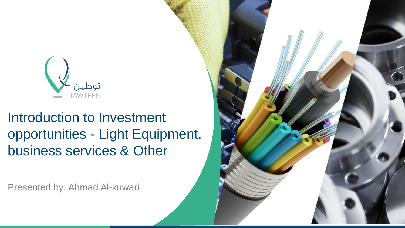

# Introduction to Investment opportunities - Light Equipment, business services & Other

Presented by: Ahmad Al-kuwari

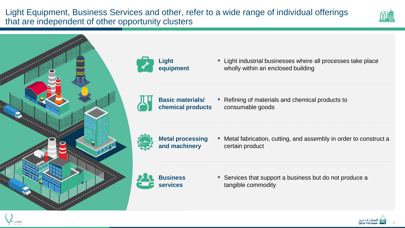Light Equipment, Business Services and other, refer to a wide range of individual offerings that are independent of other opportunity clusters







■ Light industrial businesses where all processes take place wholly within an enclosed building



■ Refining of materials and chemical products to consumable goods



■ Metal fabrication, cutting, and assembly in order to construct a certain product



■ Services that support a business but do not produce a tangible commodity

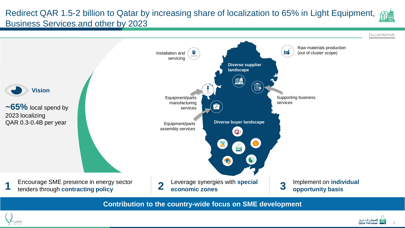### Redirect QAR 1.5-2 billion to Qatar by increasing share of localization to 65% in Light Equipment, Business Services and other by 2023





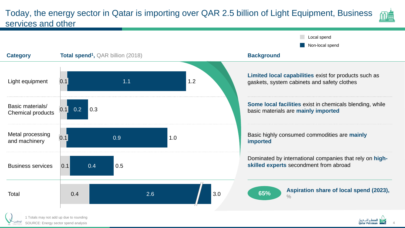#### Today, the energy sector in Qatar is importing over QAR 2.5 billion of Light Equipment, Business services and other







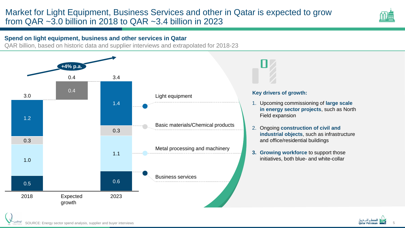#### Market for Light Equipment, Business Services and other in Qatar is expected to grow from QAR  $\sim$ 3.0 billion in 2018 to QAR  $\sim$ 3.4 billion in 2023

#### **Spend on light equipment, business and other services in Qatar**

QAR billion, based on historic data and supplier interviews and extrapolated for 2018-23